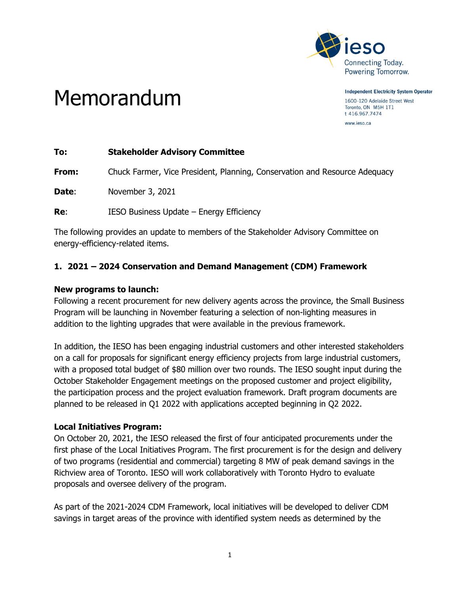

Memorandum

**Independent Electricity System Operator** 1600-120 Adelaide Street West

Toronto, ON M5H 1T1 t 416.967.7474 www.ieso.ca

**To: Stakeholder Advisory Committee**

**From:** Chuck Farmer, Vice President, Planning, Conservation and Resource Adequacy

**Date**: November 3, 2021

**Re:** IESO Business Update – Energy Efficiency

The following provides an update to members of the Stakeholder Advisory Committee on energy-efficiency-related items.

# **1. 2021 – 2024 Conservation and Demand Management (CDM) Framework**

#### **New programs to launch:**

Following a recent procurement for new delivery agents across the province, the Small Business Program will be launching in November featuring a selection of non-lighting measures in addition to the lighting upgrades that were available in the previous framework.

In addition, the IESO has been engaging industrial customers and other interested stakeholders on a call for proposals for significant energy efficiency projects from large industrial customers, with a proposed total budget of \$80 million over two rounds. The IESO sought input during the October Stakeholder Engagement meetings on the proposed customer and project eligibility, the participation process and the project evaluation framework. Draft program documents are planned to be released in Q1 2022 with applications accepted beginning in Q2 2022.

#### **Local Initiatives Program:**

On October 20, 2021, the IESO released the first of four anticipated procurements under the first phase of the Local Initiatives Program. The first procurement is for the design and delivery of two programs (residential and commercial) targeting 8 MW of peak demand savings in the Richview area of Toronto. IESO will work collaboratively with Toronto Hydro to evaluate proposals and oversee delivery of the program.

As part of the 2021-2024 CDM Framework, local initiatives will be developed to deliver CDM savings in target areas of the province with identified system needs as determined by the